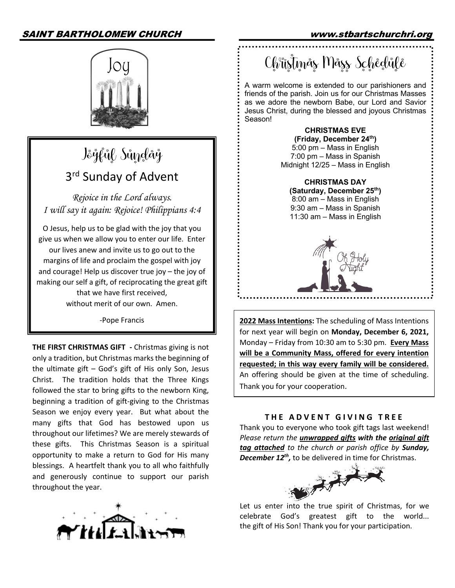# SAINT BARTHOLOMEW CHURCH www.stbartschurchri.org



# Jöğfül Sündäğ 3<sup>rd</sup> Sunday of Advent

*Rejoice in the Lord always. I will say it again: Rejoice! Philippians 4:4*

O Jesus, help us to be glad with the joy that you give us when we allow you to enter our life. Enter our lives anew and invite us to go out to the margins of life and proclaim the gospel with joy and courage! Help us discover true joy – the joy of making our self a gift, of reciprocating the great gift that we have first received, without merit of our own. Amen.

-Pope Francis

**THE FIRST CHRISTMAS GIFT -** Christmas giving is not only a tradition, but Christmas marks the beginning of the ultimate gift – God's gift of His only Son, Jesus Christ. The tradition holds that the Three Kings followed the star to bring gifts to the newborn King, beginning a tradition of gift-giving to the Christmas Season we enjoy every year. But what about the many gifts that God has bestowed upon us throughout our lifetimes? We are merely stewards of these gifts. This Christmas Season is a spiritual opportunity to make a return to God for His many blessings. A heartfelt thank you to all who faithfully and generously continue to support our parish throughout the year.



Ch<sup>e</sup>üstmås Måss Schedule

A warm welcome is extended to our parishioners and friends of the parish. Join us for our Christmas Masses as we adore the newborn Babe, our Lord and Savior Jesus Christ, during the blessed and joyous Christmas Season!

> **CHRISTMAS EVE (Friday, December 24th)** 5:00 pm – Mass in English 7:00 pm – Mass in Spanish Midnight 12/25 – Mass in English

**CHRISTMAS DAY (Saturday, December 25th)** 8:00 am – Mass in English 9:30 am – Mass in Spanish 11:30 am – Mass in English



**2022 Mass Intentions:** The scheduling of Mass Intentions for next year will begin on **Monday, December 6, 2021,** Monday – Friday from 10:30 am to 5:30 pm. **Every Mass will be a Community Mass, offered for every intention requested; in this way every family will be considered.** An offering should be given at the time of scheduling. Thank you for your cooperation.

#### **THE ADVENT GIVING TREE**

Thank you to everyone who took gift tags last weekend! *Please return the unwrapped gifts with the original gift tag attached to the church or parish office by Sunday, December 12th,* to be delivered in time for Christmas.



Let us enter into the true spirit of Christmas, for we celebrate God's greatest gift to the world... the gift of His Son! Thank you for your participation.